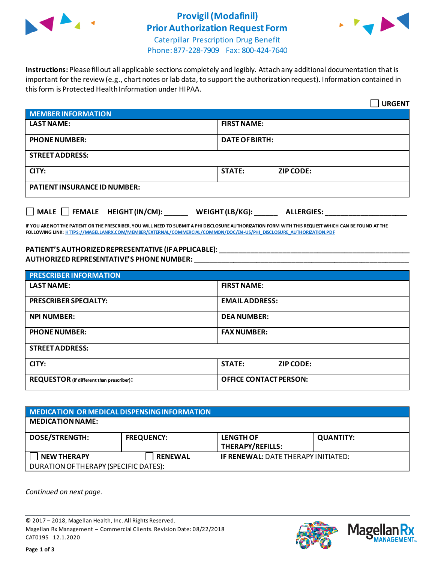

## **Provigil(Modafinil) Prior Authorization Request Form**



Caterpillar Prescription Drug Benefit Phone: 877-228-7909 Fax: 800-424-7640

**Instructions:** Please fill out all applicable sections completely and legibly. Attach any additional documentation that is important for the review (e.g., chart notes or lab data, to support the authorization request). Information contained in this form is Protected Health Information under HIPAA.

|                                     | <b>URGENT</b>                        |
|-------------------------------------|--------------------------------------|
| <b>MEMBER INFORMATION</b>           |                                      |
| <b>LAST NAME:</b>                   | <b>FIRST NAME:</b>                   |
| <b>PHONE NUMBER:</b>                | <b>DATE OF BIRTH:</b>                |
| <b>STREET ADDRESS:</b>              |                                      |
| CITY:                               | <b>STATE:</b><br><b>ZIP CODE:</b>    |
| <b>PATIENT INSURANCE ID NUMBER:</b> |                                      |
| MALE FEMALE HEIGHT (IN/CM):         | WEIGHT (LB/KG):<br><b>ALLERGIES:</b> |

**IF YOU ARE NOT THE PATIENT OR THE PRESCRIBER, YOU WILL NEED TO SUBMIT A PHI DISCLOSURE AUTHORIZATION FORM WITH THIS REQUEST WHICH CAN BE FOUND AT THE FOLLOWING LINK[: HTTPS://MAGELLANRX.COM/MEMBER/EXTERNAL/COMMERCIAL/COMMON/DOC/EN-US/PHI\\_DISCLOSURE\\_AUTHORIZATION.PDF](https://magellanrx.com/member/external/commercial/common/doc/en-us/PHI_Disclosure_Authorization.pdf)**

## **PATIENT'S AUTHORIZED REPRESENTATIVE (IF APPLICABLE): \_\_\_\_\_\_\_\_\_\_\_\_\_\_\_\_\_\_\_\_\_\_\_\_\_\_\_\_\_\_\_\_\_\_\_\_\_\_\_\_\_\_\_\_\_\_\_\_\_ AUTHORIZED REPRESENTATIVE'S PHONE NUMBER:** \_\_\_\_\_\_\_\_\_\_\_\_\_\_\_\_\_\_\_\_\_\_\_\_\_\_\_\_\_\_\_\_\_\_\_\_\_\_\_\_\_\_\_\_\_\_\_\_\_\_\_\_\_\_\_

| <b>PRESCRIBER INFORMATION</b>             |                               |  |
|-------------------------------------------|-------------------------------|--|
| <b>LAST NAME:</b>                         | <b>FIRST NAME:</b>            |  |
| <b>PRESCRIBER SPECIALTY:</b>              | <b>EMAIL ADDRESS:</b>         |  |
| <b>NPI NUMBER:</b>                        | <b>DEA NUMBER:</b>            |  |
| <b>PHONE NUMBER:</b>                      | <b>FAX NUMBER:</b>            |  |
| <b>STREET ADDRESS:</b>                    |                               |  |
| CITY:                                     | <b>STATE:</b><br>ZIP CODE:    |  |
| REQUESTOR (if different than prescriber): | <b>OFFICE CONTACT PERSON:</b> |  |

| <b>MEDICATION OR MEDICAL DISPENSING INFORMATION</b> |                   |                                            |                  |  |
|-----------------------------------------------------|-------------------|--------------------------------------------|------------------|--|
| <b>MEDICATION NAME:</b>                             |                   |                                            |                  |  |
| <b>DOSE/STRENGTH:</b>                               | <b>FREQUENCY:</b> | <b>LENGTH OF</b><br>THERAPY/REFILLS:       | <b>QUANTITY:</b> |  |
| <b>NEW THERAPY</b>                                  | <b>RENEWAL</b>    | <b>IF RENEWAL: DATE THERAPY INITIATED:</b> |                  |  |
| DURATION OF THERAPY (SPECIFIC DATES):               |                   |                                            |                  |  |

*Continued on next page.*

© 2017 – 2018, Magellan Health, Inc. All Rights Reserved. Magellan Rx Management – Commercial Clients. Revision Date: 08/22/2018 CAT0195 12.1.2020



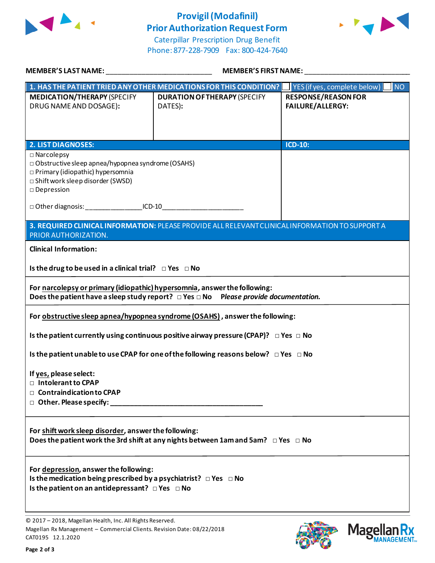

## **Provigil(Modafinil) Prior Authorization Request Form**



Caterpillar Prescription Drug Benefit Phone: 877-228-7909 Fax: 800-424-7640

| <b>MEMBER'S LAST NAME:</b>                                                                                                                                                       | <b>MEMBER'S FIRST NAME:</b>                                                                     |                                                |  |
|----------------------------------------------------------------------------------------------------------------------------------------------------------------------------------|-------------------------------------------------------------------------------------------------|------------------------------------------------|--|
| 1. HAS THE PATIENT TRIED ANY OTHER MEDICATIONS FOR THIS CONDITION?                                                                                                               |                                                                                                 | N<br>YES (if yes, complete below)              |  |
| <b>MEDICATION/THERAPY (SPECIFY</b><br>DRUG NAME AND DOSAGE):                                                                                                                     | <b>DURATION OF THERAPY (SPECIFY</b><br>DATES):                                                  | <b>RESPONSE/REASON FOR</b><br>FAILURE/ALLERGY: |  |
| <b>2. LIST DIAGNOSES:</b>                                                                                                                                                        |                                                                                                 | $ICD-10$ :                                     |  |
| $\square$ Narcolepsy<br>□ Obstructive sleep apnea/hypopnea syndrome (OSAHS)<br>□ Primary (idiopathic) hypersomnia<br>□ Shift work sleep disorder (SWSD)<br>$\square$ Depression  |                                                                                                 |                                                |  |
| □ Other diagnosis: ____________________ICD-10__________________________________                                                                                                  |                                                                                                 |                                                |  |
| PRIOR AUTHORIZATION.                                                                                                                                                             | 3. REQUIRED CLINICAL INFORMATION: PLEASE PROVIDE ALL RELEVANT CLINICAL INFORMATION TO SUPPORT A |                                                |  |
| <b>Clinical Information:</b>                                                                                                                                                     |                                                                                                 |                                                |  |
| Is the drug to be used in a clinical trial? $\Box$ Yes $\Box$ No                                                                                                                 |                                                                                                 |                                                |  |
| For narcolepsy or primary (idiopathic) hypersomnia, answer the following:                                                                                                        | Does the patient have a sleep study report? $\Box$ Yes $\Box$ No Please provide documentation.  |                                                |  |
|                                                                                                                                                                                  | For obstructive sleep apnea/hypopnea syndrome (OSAHS), answer the following:                    |                                                |  |
|                                                                                                                                                                                  | Is the patient currently using continuous positive airway pressure (CPAP)? $\Box$ Yes $\Box$ No |                                                |  |
|                                                                                                                                                                                  | Is the patient unable to use CPAP for one of the following reasons below? $\Box$ Yes $\Box$ No  |                                                |  |
| If yes, please select:<br>$\Box$ Intolerant to CPAP<br>□ Contraindication to CPAP                                                                                                |                                                                                                 |                                                |  |
| For shift work sleep disorder, answer the following:                                                                                                                             | Does the patient work the 3rd shift at any nights between 1am and 5am? $\Box$ Yes $\Box$ No     |                                                |  |
| For depression, answer the following:<br>Is the medication being prescribed by a psychiatrist? $\Box$ Yes $\Box$ No<br>Is the patient on an antidepressant? $\Box$ Yes $\Box$ No |                                                                                                 |                                                |  |
| © 2017 - 2018, Magellan Health, Inc. All Rights Reserved.                                                                                                                        |                                                                                                 |                                                |  |

Magellan Rx Management – Commercial Clients. Revision Date: 08/22/2018 CAT0195 12.1.2020